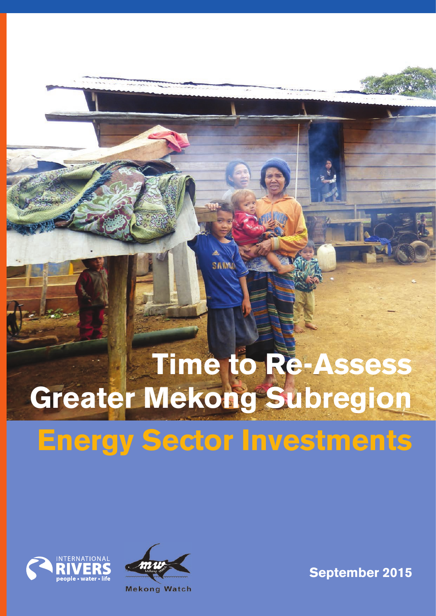# **Time to Re-Assess Greater Mekong Subregion**

**SAWN** 

# **Energy Sector Investments**





**September 2015**

**Mekong Watch**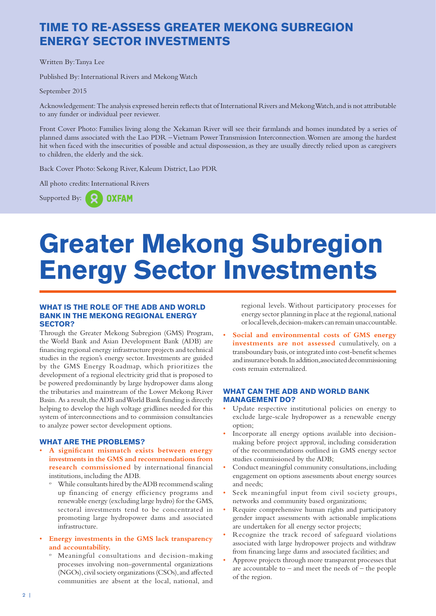### **TIME TO RE-ASSESS GREATER MEKONG SUBREGION ENERGY SECTOR INVESTMENTS**

Written By: Tanya Lee

Published By: International Rivers and Mekong Watch

September 2015

Acknowledgement: The analysis expressed herein reflects that of International Rivers and Mekong Watch, and is not attributable to any funder or individual peer reviewer.

Front Cover Photo: Families living along the Xekaman River will see their farmlands and homes inundated by a series of planned dams associated with the Lao PDR – Vietnam Power Transmission Interconnection. Women are among the hardest hit when faced with the insecurities of possible and actual dispossession, as they are usually directly relied upon as caregivers to children, the elderly and the sick.

Back Cover Photo: Sekong River, Kaleum District, Lao PDR

All photo credits: International Rivers

Supported By:  $\bigodot$ **OXFAM** 

# **Greater Mekong Subregion Energy Sector Investments**

#### **WHAT IS THE ROLE OF THE ADB AND WORLD BANK IN THE MEKONG REGIONAL ENERGY SECTOR?**

Through the Greater Mekong Subregion (GMS) Program, the World Bank and Asian Development Bank (ADB) are financing regional energy infrastructure projects and technical studies in the region's energy sector. Investments are guided by the GMS Energy Roadmap, which prioritizes the development of a regional electricity grid that is proposed to be powered predominantly by large hydropower dams along the tributaries and mainstream of the Lower Mekong River Basin. As a result, the ADB and World Bank funding is directly helping to develop the high voltage gridlines needed for this system of interconnections and to commission consultancies to analyze power sector development options.

#### **WHAT ARE THE PROBLEMS?**

- **A significant mismatch exists between energy investments in the GMS and recommendations from research commissioned** by international financial institutions, including the ADB.
	- While consultants hired by the ADB recommend scaling up financing of energy efficiency programs and renewable energy (excluding large hydro) for the GMS, sectoral investments tend to be concentrated in promoting large hydropower dams and associated infrastructure.
- **Energy investments in the GMS lack transparency and accountability.**
	- o Meaningful consultations and decision-making processes involving non-governmental organizations (NGOs), civil society organizations (CSOs), and affected communities are absent at the local, national, and

regional levels. Without participatory processes for energy sector planning in place at the regional, national or local levels, decision-makers can remain unaccountable.

• **Social and environmental costs of GMS energy investments are not assessed** cumulatively, on a transboundary basis, or integrated into cost-benefit schemes and insurance bonds. In addition, associated decommissioning costs remain externalized.

#### **WHAT CAN THE ADB AND WORLD BANK MANAGEMENT DO?**

- Update respective institutional policies on energy to exclude large-scale hydropower as a renewable energy option;
- Incorporate all energy options available into decisionmaking before project approval, including consideration of the recommendations outlined in GMS energy sector studies commissioned by the ADB;
- Conduct meaningful community consultations, including engagement on options assessments about energy sources and needs;
- Seek meaningful input from civil society groups, networks and community based organizations;
- Require comprehensive human rights and participatory gender impact assessments with actionable implications are undertaken for all energy sector projects;
- Recognize the track record of safeguard violations associated with large hydropower projects and withdraw from financing large dams and associated facilities; and
- Approve projects through more transparent processes that are accountable to  $-$  and meet the needs of  $-$  the people of the region.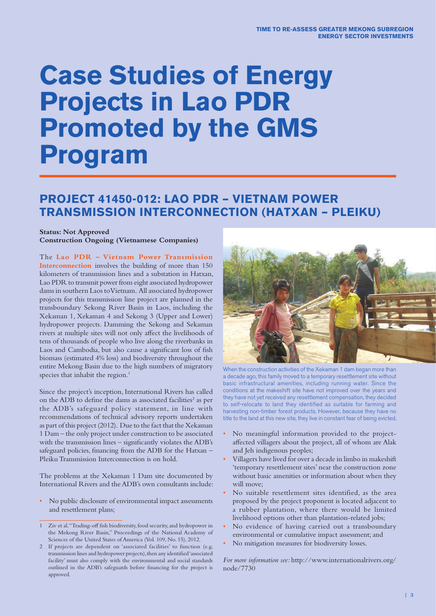## **Case Studies of Energy Projects in Lao PDR Promoted by the GMS Program**

### **PROJECT 41450-012: LAO PDR – VIETNAM POWER TRANSMISSION INTERCONNECTION (HATXAN – PLEIKU)**

#### **Status: Not Approved**

**Construction Ongoing (Vietnamese Companies)**

The **Lao PDR – Vietnam Power Transmission Interconnection** involves the building of more than 150 kilometers of transmission lines and a substation in Hatxan, Lao PDR to transmit power from eight associated hydropower dams in southern Laos to Vietnam. All associated hydropower projects for this transmission line project are planned in the transboundary Sekong River Basin in Laos, including the Xekaman 1, Xekaman 4 and Sekong 3 (Upper and Lower) hydropower projects. Damming the Sekong and Sekaman rivers at multiple sites will not only affect the livelihoods of tens of thousands of people who live along the riverbanks in Laos and Cambodia, but also cause a significant loss of fish biomass (estimated 4% loss) and biodiversity throughout the entire Mekong Basin due to the high numbers of migratory species that inhabit the region.<sup>1</sup>

Since the project's inception, International Rivers has called on the ADB to define the dams as associated facilities<sup>2</sup> as per the ADB's safeguard policy statement, in line with recommendations of technical advisory reports undertaken as part of this project (2012). Due to the fact that the Xekaman 1 Dam – the only project under construction to be associated with the transmission lines - significantly violates the ADB's safeguard policies, financing from the ADB for the Hatxan -Pleiku Transmission Interconnection is on hold.

The problems at the Xekaman 1 Dam site documented by International Rivers and the ADB's own consultants include:

- No public disclosure of environmental impact assessments and resettlement plans;
- 1 Ziv et al. "Trading-off fish biodiversity, food security, and hydropower in the Mekong River Basin," Proceedings of the National Academy of Sciences of the United States of America (Vol. 109, No. 15), 2012.
- 2 If projects are dependent on 'associated facilities' to function (e.g. transmission lines and hydropower projects), then any identified 'associated facility' must also comply with the environmental and social standards outlined in the ADB's safeguards before financing for the project is approved.



When the construction activities of the Xekaman 1 dam began more than a decade ago, this family moved to a temporary resettlement site without basic infrastructural amenities, including running water. Since the conditions at the makeshift site have not improved over the years and they have not yet received any resettlement compensation, they decided to self-relocate to land they identified as suitable for farming and harvesting non-timber forest products. However, because they have no title to the land at this new site, they live in constant fear of being evicted.

- No meaningful information provided to the projectaffected villagers about the project, all of whom are Alak and Jeh indigenous peoples;
- Villagers have lived for over a decade in limbo in makeshift 'temporary resettlement sites' near the construction zone without basic amenities or information about when they will move;
- No suitable resettlement sites identified, as the area proposed by the project proponent is located adjacent to a rubber plantation, where there would be limited livelihood options other than plantation-related jobs;
- No evidence of having carried out a transboundary environmental or cumulative impact assessment; and
- No mitigation measures for biodiversity losses.

*For more information see:* http://www.internationalrivers.org/ node/7730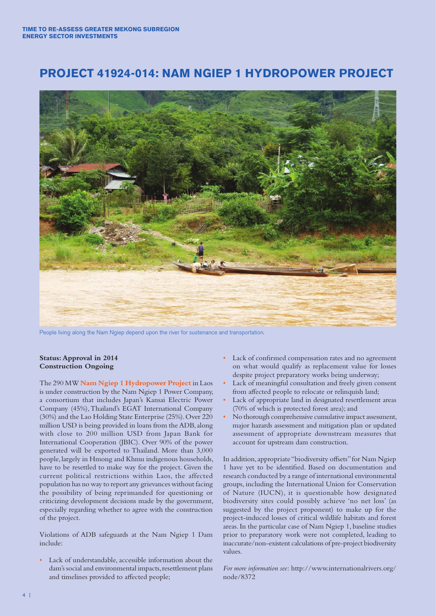### **PROJECT 41924-014: NAM NGIEP 1 HYDROPOWER PROJECT**



People living along the Nam Ngiep depend upon the river for sustenance and transportation.

#### **Status: Approval in 2014 Construction Ongoing**

The 290 MW **Nam Ngiep 1 Hydropower Project** in Laos is under construction by the Nam Ngiep 1 Power Company, a consortium that includes Japan's Kansai Electric Power Company (45%), Thailand's EGAT International Company (30%) and the Lao Holding State Enterprise (25%). Over 220 million USD is being provided in loans from the ADB, along with close to 200 million USD from Japan Bank for International Cooperation (JBIC). Over 90% of the power generated will be exported to Thailand. More than 3,000 people, largely in Hmong and Khmu indigenous households, have to be resettled to make way for the project. Given the current political restrictions within Laos, the affected population has no way to report any grievances without facing the possibility of being reprimanded for questioning or criticizing development decisions made by the government, especially regarding whether to agree with the construction of the project.

Violations of ADB safeguards at the Nam Ngiep 1 Dam include:

• Lack of understandable, accessible information about the dam's social and environmental impacts, resettlement plans and timelines provided to affected people;

- Lack of confirmed compensation rates and no agreement on what would qualify as replacement value for losses despite project preparatory works being underway;
- Lack of meaningful consultation and freely given consent from affected people to relocate or relinquish land;
- Lack of appropriate land in designated resettlement areas (70% of which is protected forest area); and
- No thorough comprehensive cumulative impact assessment, major hazards assessment and mitigation plan or updated assessment of appropriate downstream measures that account for upstream dam construction.

In addition, appropriate "biodiversity offsets" for Nam Ngiep 1 have yet to be identified. Based on documentation and research conducted by a range of international environmental groups, including the International Union for Conservation of Nature (IUCN), it is questionable how designated biodiversity sites could possibly achieve 'no net loss' (as suggested by the project proponent) to make up for the project-induced losses of critical wildlife habitats and forest areas. In the particular case of Nam Ngiep 1, baseline studies prior to preparatory work were not completed, leading to inaccurate/non-existent calculations of pre-project biodiversity values.

*For more information see:* http://www.internationalrivers.org/ node/8372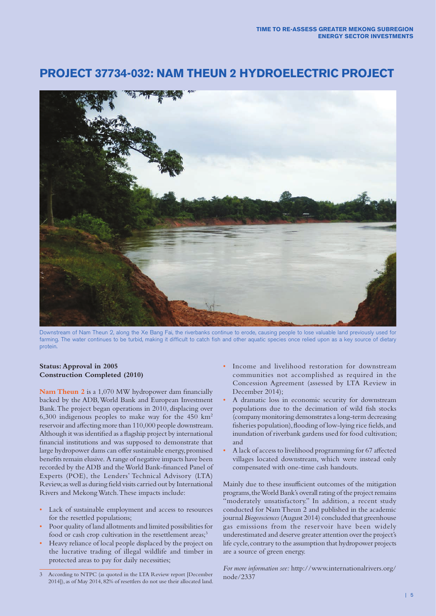### **PROJECT 37734-032: NAM THEUN 2 HYDROELECTRIC PROJECT**



Downstream of Nam Theun 2, along the Xe Bang Fai, the riverbanks continue to erode, causing people to lose valuable land previously used for farming. The water continues to be turbid, making it difficult to catch fish and other aquatic species once relied upon as a key source of dietary protein.

#### **Status: Approval in 2005 Construction Completed (2010)**

**Nam Theun 2** is a 1,070 MW hydropower dam financially backed by the ADB, World Bank and European Investment Bank. The project began operations in 2010, displacing over 6,300 indigenous peoples to make way for the 450 km2 reservoir and affecting more than 110,000 people downstream. Although it was identified as a flagship project by international financial institutions and was supposed to demonstrate that large hydropower dams can offer sustainable energy, promised benefits remain elusive. A range of negative impacts have been recorded by the ADB and the World Bank-financed Panel of Experts (POE), the Lenders' Technical Advisory (LTA) Review, as well as during field visits carried out by International Rivers and Mekong Watch. These impacts include:

- Lack of sustainable employment and access to resources for the resettled populations;
- Poor quality of land allotments and limited possibilities for food or cash crop cultivation in the resettlement areas;<sup>3</sup>
- Heavy reliance of local people displaced by the project on the lucrative trading of illegal wildlife and timber in protected areas to pay for daily necessities;
- Income and livelihood restoration for downstream communities not accomplished as required in the Concession Agreement (assessed by LTA Review in December 2014);
- A dramatic loss in economic security for downstream populations due to the decimation of wild fish stocks (company monitoring demonstrates a long-term decreasing fisheries population), flooding of low-lying rice fields, and inundation of riverbank gardens used for food cultivation; and
- A lack of access to livelihood programming for 67 affected villages located downstream, which were instead only compensated with one-time cash handouts.

Mainly due to these insufficient outcomes of the mitigation programs, the World Bank's overall rating of the project remains "moderately unsatisfactory." In addition, a recent study conducted for Nam Theun 2 and published in the academic journal *Biogeosciences* (August 2014) concluded that greenhouse gas emissions from the reservoir have been widely underestimated and deserve greater attention over the project's life cycle, contrary to the assumption that hydropower projects are a source of green energy.

*For more information see:* http://www.internationalrivers.org/ node/2337

<sup>3</sup> According to NTPC (as quoted in the LTA Review report [December 2014]), as of May 2014, 82% of resettlers do not use their allocated land.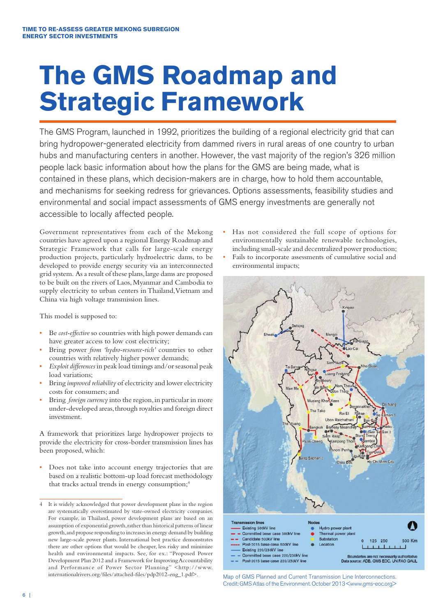# **The GMS Roadmap and Strategic Framework**

The GMS Program, launched in 1992, prioritizes the building of a regional electricity grid that can bring hydropower-generated electricity from dammed rivers in rural areas of one country to urban hubs and manufacturing centers in another. However, the vast majority of the region's 326 million people lack basic information about how the plans for the GMS are being made, what is contained in these plans, which decision-makers are in charge, how to hold them accountable, and mechanisms for seeking redress for grievances. Options assessments, feasibility studies and environmental and social impact assessments of GMS energy investments are generally not accessible to locally affected people.

Government representatives from each of the Mekong countries have agreed upon a regional Energy Roadmap and Strategic Framework that calls for large-scale energy production projects, particularly hydroelectric dams, to be developed to provide energy security via an interconnected grid system. As a result of these plans, large dams are proposed to be built on the rivers of Laos, Myanmar and Cambodia to supply electricity to urban centers in Thailand, Vietnam and China via high voltage transmission lines.

This model is supposed to:

- Be *cost-effective* so countries with high power demands can have greater access to low cost electricity;
- Bring power *from 'hydro-resource-rich'* countries to other countries with relatively higher power demands;
- *Exploit differences* in peak load timings and/or seasonal peak load variations;
- Bring *improved reliability* of electricity and lower electricity costs for consumers; and
- Bring *foreign currency* into the region, in particular in more under-developed areas, through royalties and foreign direct investment.

A framework that prioritizes large hydropower projects to provide the electricity for cross-border transmission lines has been proposed, which:

Does not take into account energy trajectories that are based on a realistic bottom-up load forecast methodology that tracks actual trends in energy consumption;<sup>4</sup>

Has not considered the full scope of options for environmentally sustainable renewable technologies, including small-scale and decentralized power production; • Fails to incorporate assessments of cumulative social and environmental impacts;



Map of GMS Planned and Current Transmission Line Interconnections. Credit: GMS Atlas of the Environment. October 2013 <www.gms-eoc.org>

<sup>4</sup> It is widely acknowledged that power development plans in the region are systematically overestimated by state-owned electricity companies. For example, in Thailand, power development plans are based on an assumption of exponential growth, rather than historical patterns of linear growth, and propose responding to increases in energy demand by building new large-scale power plants. International best practice demonstrates there are other options that would be cheaper, less risky and minimize health and environmental impacts. See, for ex.: "Proposed Power Development Plan 2012 and a Framework for Improving Accountability and Performance of Power Sector Planning" <http://www. internationalrivers.org/files/attached-files/pdp2012-eng\_1.pdf>.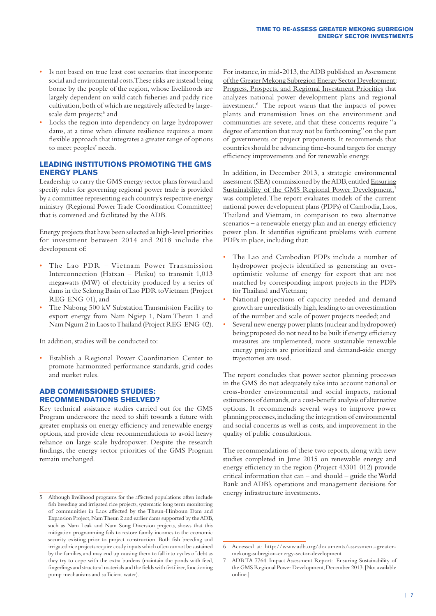- Is not based on true least cost scenarios that incorporate social and environmental costs. These risks are instead being borne by the people of the region, whose livelihoods are largely dependent on wild catch fisheries and paddy rice cultivation, both of which are negatively affected by largescale dam projects;<sup>5</sup> and
- Locks the region into dependency on large hydropower dams, at a time when climate resilience requires a more flexible approach that integrates a greater range of options to meet peoples' needs.

#### **LEADING INSTITUTIONS PROMOTING THE GMS ENERGY PLANS**

Leadership to carry the GMS energy sector plans forward and specify rules for governing regional power trade is provided by a committee representing each country's respective energy ministry (Regional Power Trade Coordination Committee) that is convened and facilitated by the ADB.

Energy projects that have been selected as high-level priorities for investment between 2014 and 2018 include the development of:

- The Lao PDR Vietnam Power Transmission Interconnection (Hatxan – Pleiku) to transmit 1,013 megawatts (MW) of electricity produced by a series of dams in the Sekong Basin of Lao PDR to Vietnam (Project REG-ENG-01), and
- The Nabong 500 kV Substation Transmission Facility to export energy from Nam Ngiep 1, Nam Theun 1 and Nam Ngum 2 in Laos to Thailand (Project REG-ENG-02).

In addition, studies will be conducted to:

Establish a Regional Power Coordination Center to promote harmonized performance standards, grid codes and market rules.

#### **ADB COMMISSIONED STUDIES: RECOMMENDATIONS SHELVED?**

Key technical assistance studies carried out for the GMS Program underscore the need to shift towards a future with greater emphasis on energy efficiency and renewable energy options, and provide clear recommendations to avoid heavy reliance on large-scale hydropower. Despite the research findings, the energy sector priorities of the GMS Program remain unchanged.

For instance, in mid-2013, the ADB published an Assessment of the Greater Mekong Subregion Energy Sector Development: Progress, Prospects, and Regional Investment Priorities that analyzes national power development plans and regional investment.6 The report warns that the impacts of power plants and transmission lines on the environment and communities are severe, and that these concerns require "a degree of attention that may not be forthcoming" on the part of governments or project proponents. It recommends that countries should be advancing time-bound targets for energy efficiency improvements and for renewable energy.

In addition, in December 2013, a strategic environmental assessment (SEA) commissioned by the ADB, entitled Ensuring Sustainability of the GMS Regional Power Development,<sup>7</sup> was completed. The report evaluates models of the current national power development plans (PDPs) of Cambodia, Laos, Thailand and Vietnam, in comparison to two alternative  $scenarios - a$  renewable energy plan and an energy efficiency power plan. It identifies significant problems with current PDPs in place, including that:

- The Lao and Cambodian PDPs include a number of hydropower projects identified as generating an overoptimistic volume of energy for export that are not matched by corresponding import projects in the PDPs for Thailand and Vietnam;
- National projections of capacity needed and demand growth are unrealistically high, leading to an overestimation of the number and scale of power projects needed; and
- Several new energy power plants (nuclear and hydropower) being proposed do not need to be built if energy efficiency measures are implemented, more sustainable renewable energy projects are prioritized and demand-side energy trajectories are used.

The report concludes that power sector planning processes in the GMS do not adequately take into account national or cross-border environmental and social impacts, rational estimations of demands, or a cost-benefit analysis of alternative options. It recommends several ways to improve power planning processes, including the integration of environmental and social concerns as well as costs, and improvement in the quality of public consultations.

The recommendations of these two reports, along with new studies completed in June 2015 on renewable energy and energy efficiency in the region (Project 43301-012) provide critical information that can – and should – guide the World Bank and ADB's operations and management decisions for energy infrastructure investments.

<sup>5</sup> Although livelihood programs for the affected populations often include fish breeding and irrigated rice projects, systematic long term monitoring of communities in Laos affected by the Theun-Hinboun Dam and Expansion Project, Nam Theun 2 and earlier dams supported by the ADB, such as Nam Leak and Nam Song Diversion projects, shows that this mitigation programming fails to restore family incomes to the economic security existing prior to project construction. Both fish breeding and irrigated rice projects require costly inputs which often cannot be sustained by the families, and may end up causing them to fall into cycles of debt as they try to cope with the extra burdens (maintain the ponds with feed, fingerlings and structural materials and the fields with fertilizer, functioning pump mechanisms and sufficient water).

<sup>6</sup> Accessed at: http://www.adb.org/documents/assessment-greatermekong-subregion-energy-sector-development

<sup>7</sup> ADB TA 7764. Impact Assessment Report: Ensuring Sustainability of the GMS Regional Power Development, December 2013. [Not available online.]